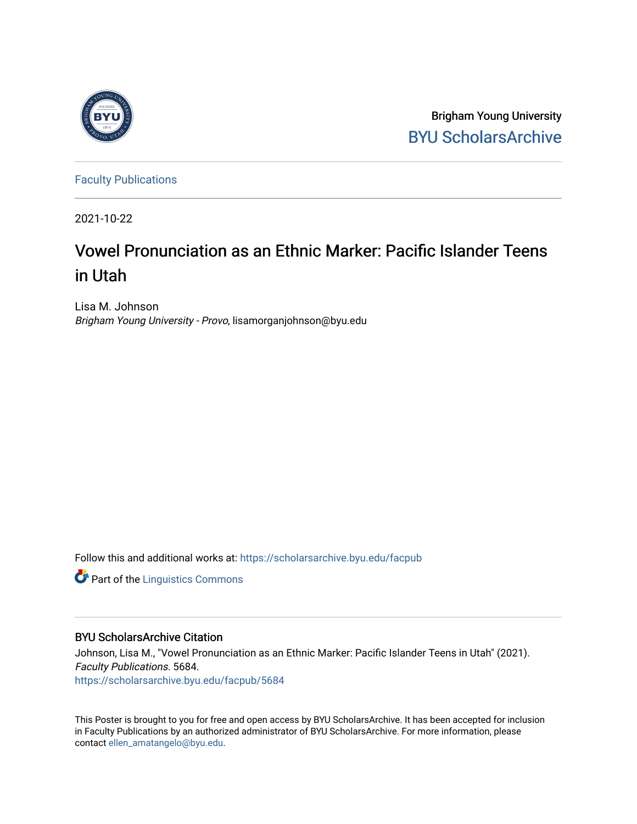

Brigham Young University [BYU ScholarsArchive](https://scholarsarchive.byu.edu/) 

[Faculty Publications](https://scholarsarchive.byu.edu/facpub)

2021-10-22

#### Vowel Pronunciation as an Ethnic Marker: Pacific Islander Teens in Utah

Lisa M. Johnson Brigham Young University - Provo, lisamorganjohnson@byu.edu

Follow this and additional works at: [https://scholarsarchive.byu.edu/facpub](https://scholarsarchive.byu.edu/facpub?utm_source=scholarsarchive.byu.edu%2Ffacpub%2F5684&utm_medium=PDF&utm_campaign=PDFCoverPages) 

**Part of the Linguistics Commons** 

#### BYU ScholarsArchive Citation

Johnson, Lisa M., "Vowel Pronunciation as an Ethnic Marker: Pacific Islander Teens in Utah" (2021). Faculty Publications. 5684. [https://scholarsarchive.byu.edu/facpub/5684](https://scholarsarchive.byu.edu/facpub/5684?utm_source=scholarsarchive.byu.edu%2Ffacpub%2F5684&utm_medium=PDF&utm_campaign=PDFCoverPages)

This Poster is brought to you for free and open access by BYU ScholarsArchive. It has been accepted for inclusion in Faculty Publications by an authorized administrator of BYU ScholarsArchive. For more information, please contact [ellen\\_amatangelo@byu.edu.](mailto:ellen_amatangelo@byu.edu)